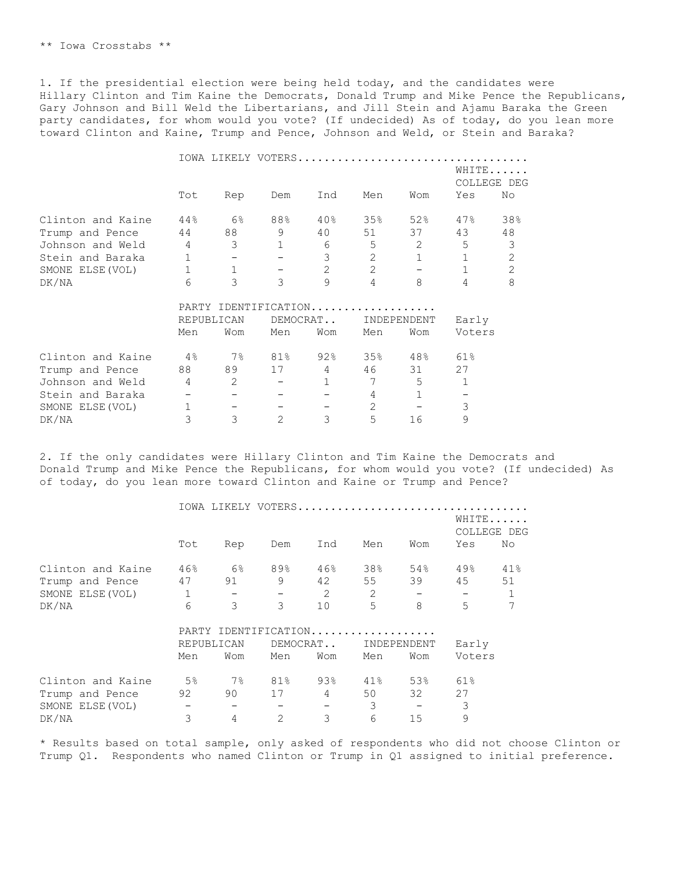1. If the presidential election were being held today, and the candidates were Hillary Clinton and Tim Kaine the Democrats, Donald Trump and Mike Pence the Republicans, Gary Johnson and Bill Weld the Libertarians, and Jill Stein and Ajamu Baraka the Green party candidates, for whom would you vote? (If undecided) As of today, do you lean more toward Clinton and Kaine, Trump and Pence, Johnson and Weld, or Stein and Baraka?

|                   |                |              |                       |                |                | IOWA LIKELY VOTERS |              |                      |
|-------------------|----------------|--------------|-----------------------|----------------|----------------|--------------------|--------------|----------------------|
|                   |                |              |                       |                |                |                    |              | WHITE<br>COLLEGE DEG |
|                   | Tot            | Rep          | Dem                   | Ind            | Men            | Wom                | Yes          | No                   |
| Clinton and Kaine | 44%            | 6%           | 88%                   | $40\%$         | 35%            | 52%                | 47%          | 38%                  |
| Trump and Pence   | 44             | 88           | 9                     | 40             | 51             | 37                 | 43           | 48                   |
| Johnson and Weld  | $\overline{4}$ | 3            | $\mathbf{1}$          | 6              | 5              | 2                  | 5            | $\mathfrak{Z}$       |
| Stein and Baraka  | 1              |              |                       | 3              | $\overline{2}$ | $\mathbf{1}$       | $\mathbf{1}$ | $\overline{2}$       |
| SMONE ELSE (VOL)  | $\mathbf{1}$   | $\mathbf{1}$ |                       | $\overline{2}$ | $\overline{2}$ | $\qquad \qquad -$  | $\mathbf{1}$ | $\overline{2}$       |
| DK/NA             | 6              | 3            | 3                     | 9              | 4              | 8                  | 4            | 8                    |
|                   |                |              | PARTY IDENTIFICATION. |                | .              |                    |              |                      |
|                   | REPUBLICAN     |              | DEMOCRAT              |                | INDEPENDENT    |                    | Early        |                      |
|                   | Men            | Wom          | Men                   | Wom            | Men            | Wom                | Voters       |                      |
| Clinton and Kaine | 4%             | $7\%$        | 81%                   | 92%            | 35%            | 48%                | 61%          |                      |
| Trump and Pence   | 88             | 89           | 17                    | $\overline{4}$ | 46             | 31                 | 27           |                      |
| Johnson and Weld  | 4              | 2            |                       | $\mathbf{1}$   | 7              | 5                  | 1            |                      |
| Stein and Baraka  |                |              |                       |                | 4              | $\mathbf{1}$       |              |                      |
| SMONE ELSE (VOL)  | $\mathbf{1}$   |              |                       |                | 2              |                    | 3            |                      |
| DK/NA             | 3              | 3            | $\overline{2}$        | 3              | 5              | 16                 | 9            |                      |

2. If the only candidates were Hillary Clinton and Tim Kaine the Democrats and Donald Trump and Mike Pence the Republicans, for whom would you vote? (If undecided) As of today, do you lean more toward Clinton and Kaine or Trump and Pence?

|                   |              |                   |                       |     |     | IOWA LIKELY VOTERS       |        |                      |
|-------------------|--------------|-------------------|-----------------------|-----|-----|--------------------------|--------|----------------------|
|                   |              |                   |                       |     |     |                          |        | WHITE<br>COLLEGE DEG |
|                   | Tot          | Rep               | Dem                   | Ind | Men | Wom                      | Yes    | No                   |
| Clinton and Kaine | 46%          | $6\%$             | 89%                   | 46% | 38% | 54%                      | 49%    | 41%                  |
| Trump and Pence   | 47           | 91                | 9                     | 42  | 55  | 39                       | 45     | 51                   |
| SMONE ELSE (VOL)  | $\mathbf{1}$ | $\qquad \qquad -$ |                       | 2   | 2   | $\overline{\phantom{m}}$ |        | $\mathbf 1$          |
| DK/NA             | 6            | 3                 | 3                     | 10  | 5   | 8                        | 5      | 7                    |
|                   |              |                   | PARTY IDENTIFICATION. |     | .   |                          |        |                      |
|                   |              | REPUBLICAN        | DEMOCRAT              |     |     | INDEPENDENT              | Early  |                      |
|                   | Men          | Wom               | Men                   | Wom | Men | Wom                      | Voters |                      |
| Clinton and Kaine | $5\%$        | 7%                | 81%                   | 93% | 41% | 53%                      | 61%    |                      |
| Trump and Pence   | 92           | 90                | 17                    | 4   | 50  | 32                       | 27     |                      |
| SMONE ELSE (VOL)  |              | —                 |                       | -   | 3   |                          | 3      |                      |
| DK/NA             | 3            | 4                 | $\overline{2}$        | 3   | 6   | 15                       | 9      |                      |

\* Results based on total sample, only asked of respondents who did not choose Clinton or Trump Q1. Respondents who named Clinton or Trump in Q1 assigned to initial preference.